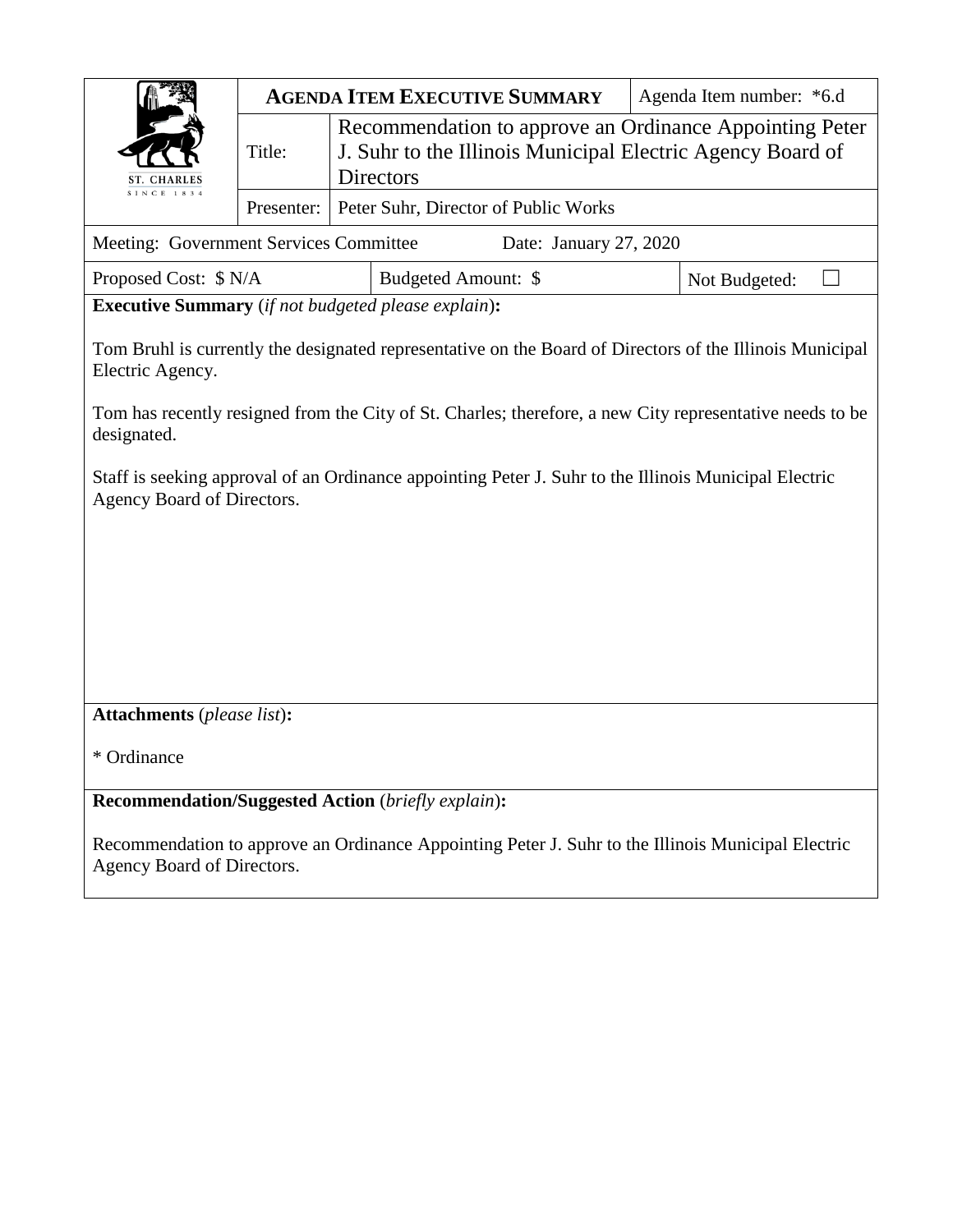

| Meeting: Government Services Committee | Date: January 27, 2020 |               |
|----------------------------------------|------------------------|---------------|
| Proposed Cost: $\gamma N/A$            | Budgeted Amount: \$    | Not Budgeted: |

**Executive Summary** (*if not budgeted please explain*)**:**

Tom Bruhl is currently the designated representative on the Board of Directors of the Illinois Municipal Electric Agency.

Tom has recently resigned from the City of St. Charles; therefore, a new City representative needs to be designated.

Staff is seeking approval of an Ordinance appointing Peter J. Suhr to the Illinois Municipal Electric Agency Board of Directors.

**Attachments** (*please list*)**:** 

\* Ordinance

**Recommendation/Suggested Action** (*briefly explain*)**:**

Recommendation to approve an Ordinance Appointing Peter J. Suhr to the Illinois Municipal Electric Agency Board of Directors.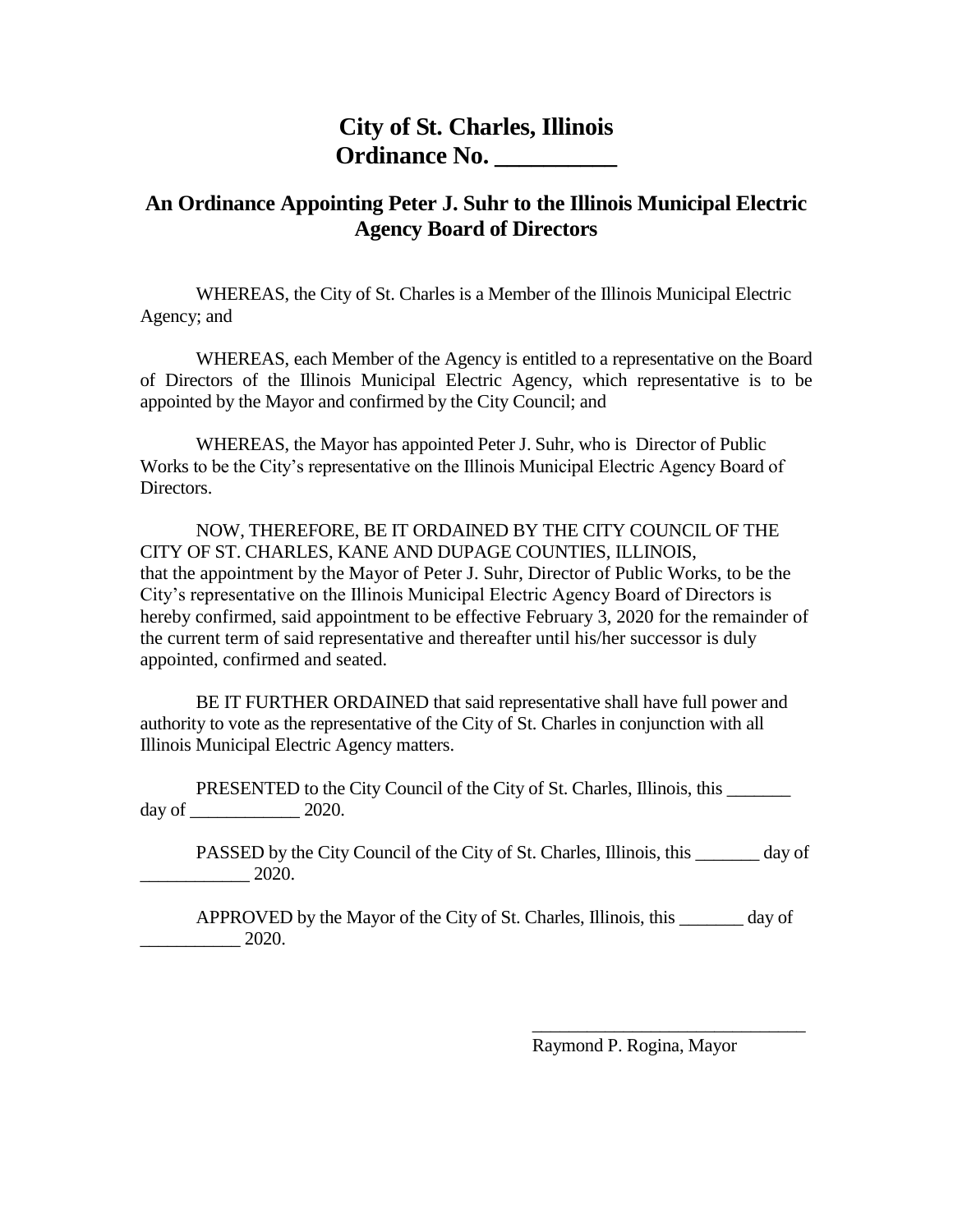## **City of St. Charles, Illinois Ordinance No. \_\_\_\_\_\_\_\_\_\_**

## **An Ordinance Appointing Peter J. Suhr to the Illinois Municipal Electric Agency Board of Directors**

WHEREAS, the City of St. Charles is a Member of the Illinois Municipal Electric Agency; and

WHEREAS, each Member of the Agency is entitled to a representative on the Board of Directors of the Illinois Municipal Electric Agency, which representative is to be appointed by the Mayor and confirmed by the City Council; and

WHEREAS, the Mayor has appointed Peter J. Suhr, who is Director of Public Works to be the City's representative on the Illinois Municipal Electric Agency Board of Directors.

NOW, THEREFORE, BE IT ORDAINED BY THE CITY COUNCIL OF THE CITY OF ST. CHARLES, KANE AND DUPAGE COUNTIES, ILLINOIS, that the appointment by the Mayor of Peter J. Suhr, Director of Public Works, to be the City's representative on the Illinois Municipal Electric Agency Board of Directors is hereby confirmed, said appointment to be effective February 3, 2020 for the remainder of the current term of said representative and thereafter until his/her successor is duly appointed, confirmed and seated.

BE IT FURTHER ORDAINED that said representative shall have full power and authority to vote as the representative of the City of St. Charles in conjunction with all Illinois Municipal Electric Agency matters.

PRESENTED to the City Council of the City of St. Charles, Illinois, this  $day of$   $2020.$ 

PASSED by the City Council of the City of St. Charles, Illinois, this day of \_\_\_\_\_\_\_\_\_\_\_\_ 2020.

APPROVED by the Mayor of the City of St. Charles, Illinois, this day of  $\_\_2$  2020.

Raymond P. Rogina, Mayor

\_\_\_\_\_\_\_\_\_\_\_\_\_\_\_\_\_\_\_\_\_\_\_\_\_\_\_\_\_\_